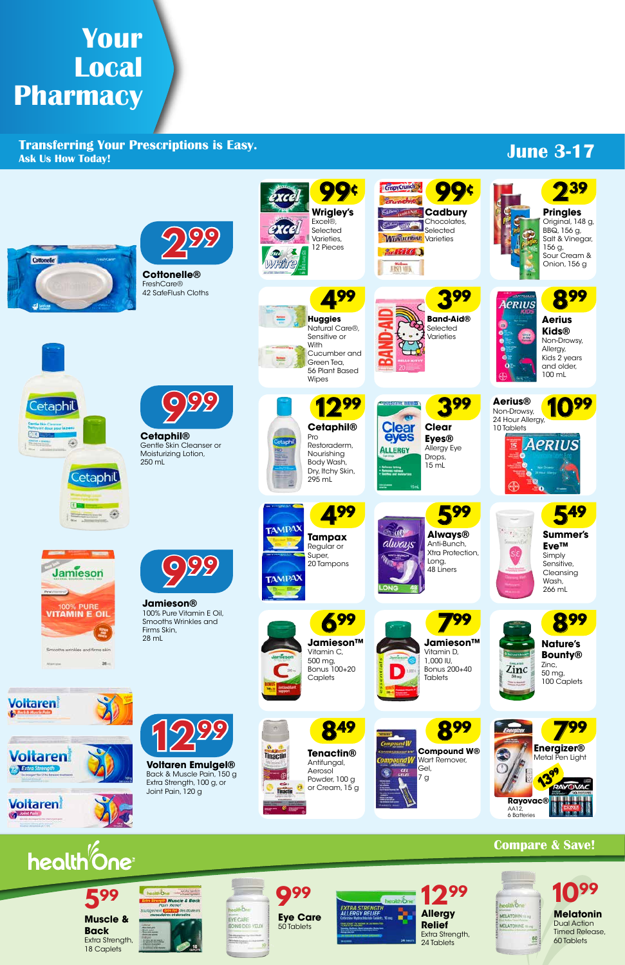# **Your Local Pharmacy**

**Transferring Your Prescriptions is Easy. Ask Us How Today!**

### **Compare & Save!**



## **June 3-17**



eolthone where **Nuscle & Bock**<br>Pain Relief

ere et di

**599**

**Voltaren Emulgel®** Back & Muscle Pain, 150 g Extra Strength, 100 g, or Joint Pain, 120 g













**Tenactin®** Antifungal, Aerosol Powder, 100 g or Cream, 15 g

**Muscle & Back** Extra Strength, 18 Caplets

**Allergy Relief** Extra Strength, 24 Tablets



**Eye Care** 50 Tablets

olth One

EYE CARE BOINS DES YEUX **Melatonin** Dual Action Timed Release, 60 Tablets